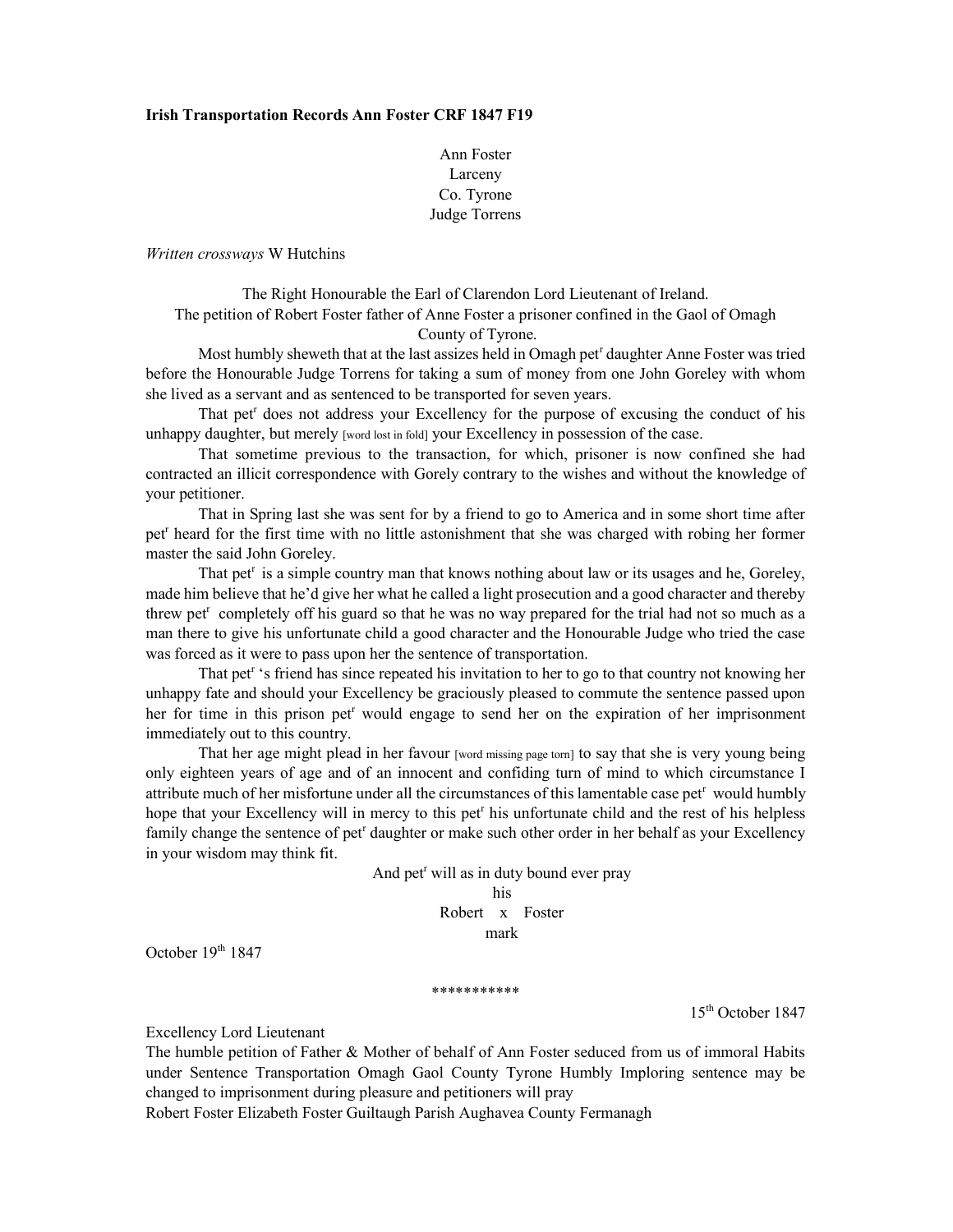### Irish Transportation Records Ann Foster CRF 1847 F19

# Ann Foster Larceny Co. Tyrone Judge Torrens

Written crossways W Hutchins

The Right Honourable the Earl of Clarendon Lord Lieutenant of Ireland. The petition of Robert Foster father of Anne Foster a prisoner confined in the Gaol of Omagh County of Tyrone.

Most humbly sheweth that at the last assizes held in Omagh pet<sup>r</sup> daughter Anne Foster was tried before the Honourable Judge Torrens for taking a sum of money from one John Goreley with whom she lived as a servant and as sentenced to be transported for seven years.

That pet<sup>r</sup> does not address your Excellency for the purpose of excusing the conduct of his unhappy daughter, but merely [word lost in fold] your Excellency in possession of the case.

That sometime previous to the transaction, for which, prisoner is now confined she had contracted an illicit correspondence with Gorely contrary to the wishes and without the knowledge of your petitioner.

That in Spring last she was sent for by a friend to go to America and in some short time after pet<sup>r</sup> heard for the first time with no little astonishment that she was charged with robing her former master the said John Goreley.

That pet<sup>r</sup> is a simple country man that knows nothing about law or its usages and he, Goreley, made him believe that he'd give her what he called a light prosecution and a good character and thereby threw pet<sup>r</sup> completely off his guard so that he was no way prepared for the trial had not so much as a man there to give his unfortunate child a good character and the Honourable Judge who tried the case was forced as it were to pass upon her the sentence of transportation.

That pet<sup>r</sup>'s friend has since repeated his invitation to her to go to that country not knowing her unhappy fate and should your Excellency be graciously pleased to commute the sentence passed upon her for time in this prison pet<sup>r</sup> would engage to send her on the expiration of her imprisonment immediately out to this country.

That her age might plead in her favour [word missing page torn] to say that she is very young being only eighteen years of age and of an innocent and confiding turn of mind to which circumstance I attribute much of her misfortune under all the circumstances of this lamentable case pet<sup>r</sup> would humbly hope that your Excellency will in mercy to this pet<sup>r</sup> his unfortunate child and the rest of his helpless family change the sentence of pet<sup>r</sup> daughter or make such other order in her behalf as your Excellency in your wisdom may think fit.

And pet<sup>r</sup> will as in duty bound ever pray

his Robert x Foster mark

October  $19<sup>th</sup> 1847$ 

\*\*\*\*\*\*\*\*\*\*\*

15th October 1847

Excellency Lord Lieutenant

The humble petition of Father & Mother of behalf of Ann Foster seduced from us of immoral Habits under Sentence Transportation Omagh Gaol County Tyrone Humbly Imploring sentence may be changed to imprisonment during pleasure and petitioners will pray

Robert Foster Elizabeth Foster Guiltaugh Parish Aughavea County Fermanagh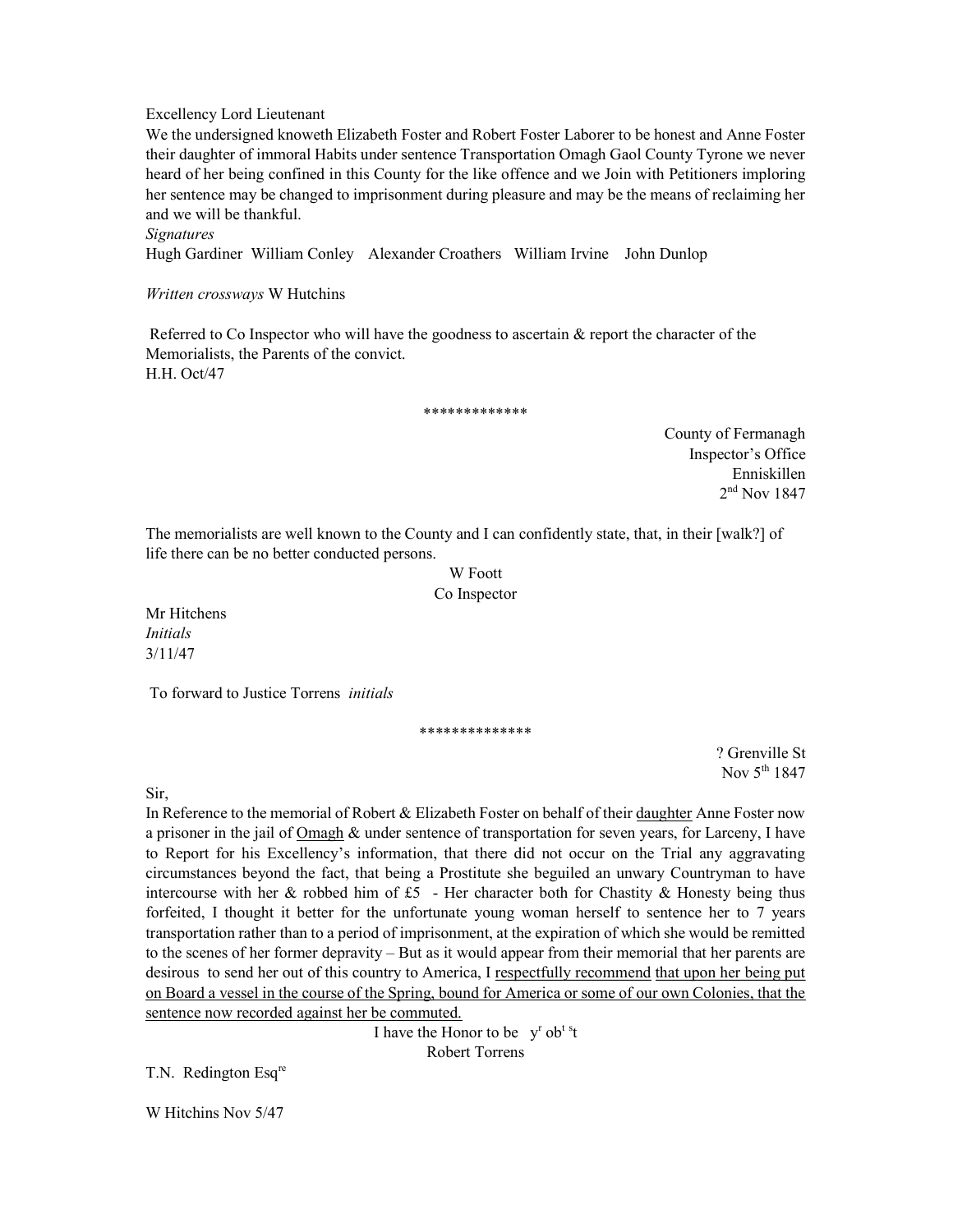Excellency Lord Lieutenant

We the undersigned knoweth Elizabeth Foster and Robert Foster Laborer to be honest and Anne Foster their daughter of immoral Habits under sentence Transportation Omagh Gaol County Tyrone we never heard of her being confined in this County for the like offence and we Join with Petitioners imploring her sentence may be changed to imprisonment during pleasure and may be the means of reclaiming her and we will be thankful.

**Signatures** 

Hugh Gardiner William Conley Alexander Croathers William Irvine John Dunlop

Written crossways W Hutchins

 Referred to Co Inspector who will have the goodness to ascertain & report the character of the Memorialists, the Parents of the convict. H.H. Oct/47

\*\*\*\*\*\*\*\*\*\*\*\*\*

County of Fermanagh Inspector's Office Enniskillen 2 nd Nov 1847

The memorialists are well known to the County and I can confidently state, that, in their [walk?] of life there can be no better conducted persons.

> W Foott Co Inspector

Mr Hitchens Initials 3/11/47

To forward to Justice Torrens initials

\*\*\*\*\*\*\*\*\*\*\*\*\*\*

? Grenville St Nov 5<sup>th</sup> 1847

Sir,

In Reference to the memorial of Robert & Elizabeth Foster on behalf of their daughter Anne Foster now a prisoner in the jail of Omagh & under sentence of transportation for seven years, for Larceny, I have to Report for his Excellency's information, that there did not occur on the Trial any aggravating circumstances beyond the fact, that being a Prostitute she beguiled an unwary Countryman to have intercourse with her & robbed him of  $£5$  - Her character both for Chastity & Honesty being thus forfeited, I thought it better for the unfortunate young woman herself to sentence her to 7 years transportation rather than to a period of imprisonment, at the expiration of which she would be remitted to the scenes of her former depravity – But as it would appear from their memorial that her parents are desirous to send her out of this country to America, I respectfully recommend that upon her being put on Board a vessel in the course of the Spring, bound for America or some of our own Colonies, that the sentence now recorded against her be commuted.

> I have the Honor to be  $y^r$  ob<sup>ts</sup>t Robert Torrens

T.N. Redington Esqre

W Hitchins Nov 5/47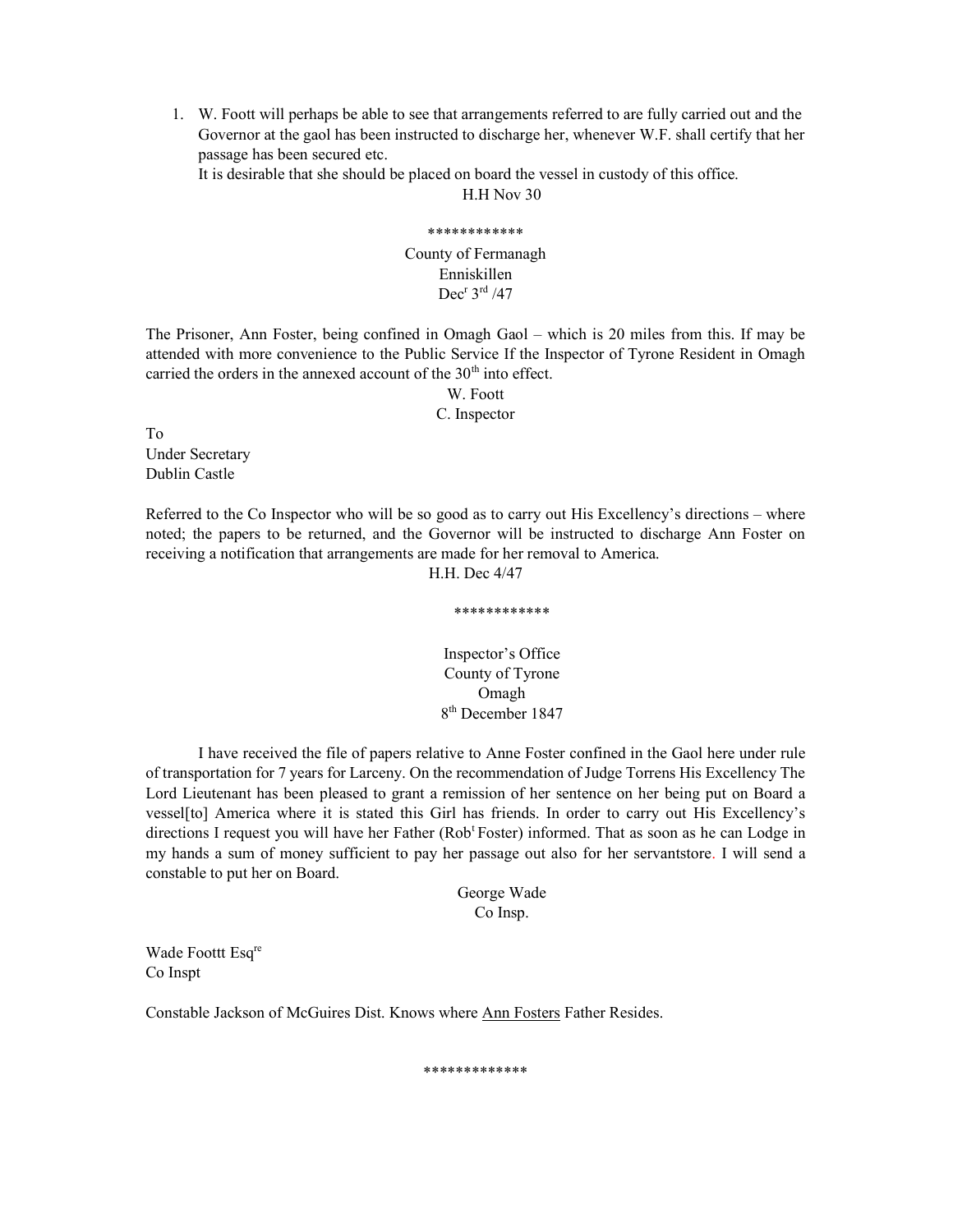1. W. Foott will perhaps be able to see that arrangements referred to are fully carried out and the Governor at the gaol has been instructed to discharge her, whenever W.F. shall certify that her passage has been secured etc.

It is desirable that she should be placed on board the vessel in custody of this office.

H.H Nov 30

# \*\*\*\*\*\*\*\*\*\*\*\* County of Fermanagh Enniskillen  $Dec<sup>r</sup> 3<sup>rd</sup> / 47$

The Prisoner, Ann Foster, being confined in Omagh Gaol – which is 20 miles from this. If may be attended with more convenience to the Public Service If the Inspector of Tyrone Resident in Omagh carried the orders in the annexed account of the  $30<sup>th</sup>$  into effect.

> W. Foott C. Inspector

To Under Secretary Dublin Castle

Referred to the Co Inspector who will be so good as to carry out His Excellency's directions – where noted; the papers to be returned, and the Governor will be instructed to discharge Ann Foster on receiving a notification that arrangements are made for her removal to America.

H.H. Dec 4/47

\*\*\*\*\*\*\*\*\*\*\*\*

Inspector's Office County of Tyrone Omagh 8 th December 1847

I have received the file of papers relative to Anne Foster confined in the Gaol here under rule of transportation for 7 years for Larceny. On the recommendation of Judge Torrens His Excellency The Lord Lieutenant has been pleased to grant a remission of her sentence on her being put on Board a vessel[to] America where it is stated this Girl has friends. In order to carry out His Excellency's directions I request you will have her Father (Rob<sup>t</sup>Foster) informed. That as soon as he can Lodge in my hands a sum of money sufficient to pay her passage out also for her servantstore. I will send a constable to put her on Board.

> George Wade Co Insp.

Wade Foottt Esq<sup>re</sup> Co Inspt

Constable Jackson of McGuires Dist. Knows where Ann Fosters Father Resides.

\*\*\*\*\*\*\*\*\*\*\*\*\*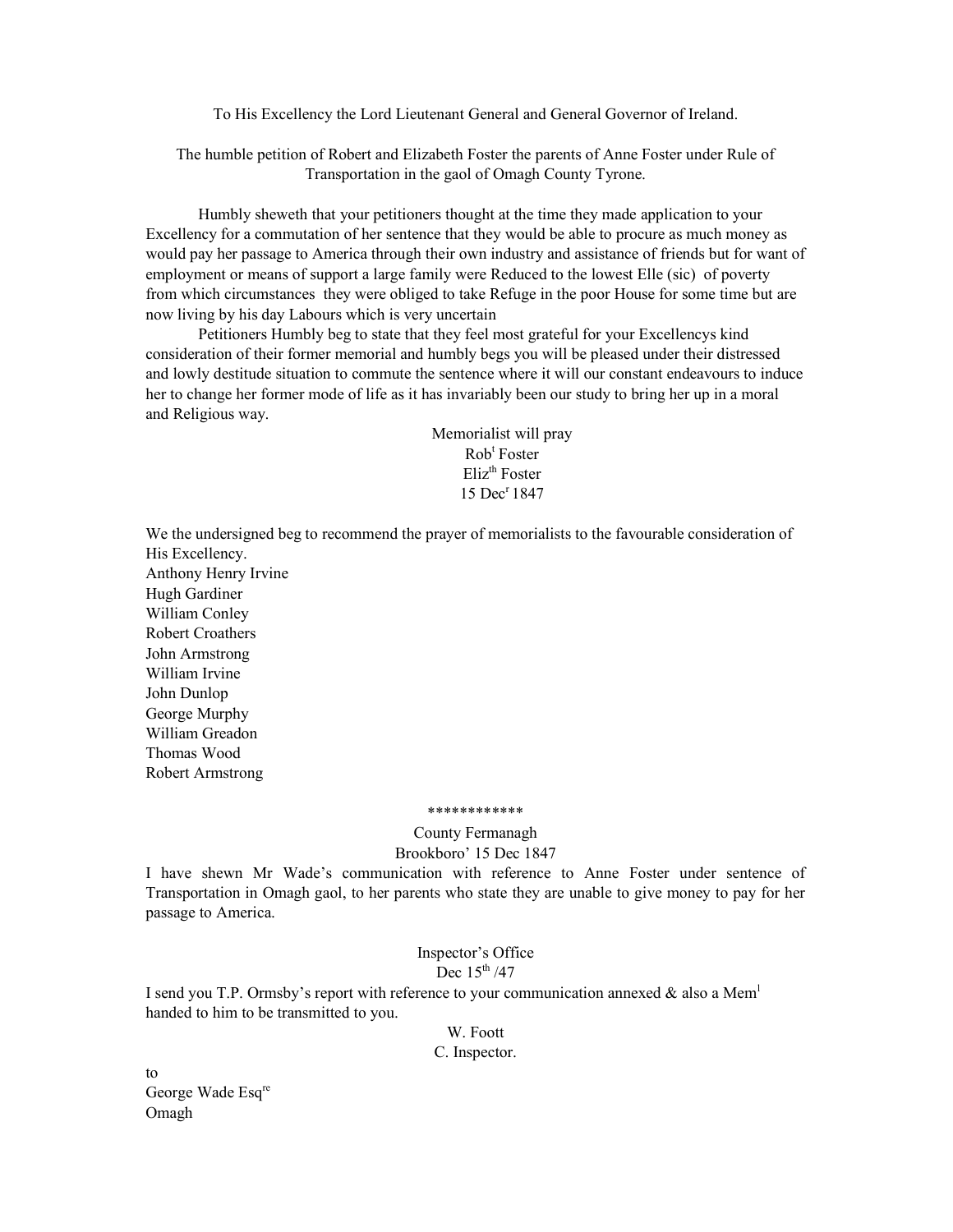To His Excellency the Lord Lieutenant General and General Governor of Ireland.

The humble petition of Robert and Elizabeth Foster the parents of Anne Foster under Rule of Transportation in the gaol of Omagh County Tyrone.

Humbly sheweth that your petitioners thought at the time they made application to your Excellency for a commutation of her sentence that they would be able to procure as much money as would pay her passage to America through their own industry and assistance of friends but for want of employment or means of support a large family were Reduced to the lowest Elle (sic) of poverty from which circumstances they were obliged to take Refuge in the poor House for some time but are now living by his day Labours which is very uncertain

Petitioners Humbly beg to state that they feel most grateful for your Excellencys kind consideration of their former memorial and humbly begs you will be pleased under their distressed and lowly destitude situation to commute the sentence where it will our constant endeavours to induce her to change her former mode of life as it has invariably been our study to bring her up in a moral and Religious way.

> Memorialist will pray Rob<sup>t</sup> Foster Eliz<sup>th</sup> Foster 15 Dec<sup>r</sup> 1847

We the undersigned beg to recommend the prayer of memorialists to the favourable consideration of His Excellency. Anthony Henry Irvine Hugh Gardiner William Conley Robert Croathers John Armstrong William Irvine John Dunlop George Murphy William Greadon Thomas Wood

#### \*\*\*\*\*\*\*\*\*\*\*\*

County Fermanagh Brookboro' 15 Dec 1847

I have shewn Mr Wade's communication with reference to Anne Foster under sentence of Transportation in Omagh gaol, to her parents who state they are unable to give money to pay for her passage to America.

> Inspector's Office Dec  $15^{th}/47$

I send you T.P. Ormsby's report with reference to your communication annexed & also a Mem<sup>1</sup> handed to him to be transmitted to you.

> W. Foott C. Inspector.

to George Wade Esq<sup>re</sup> Omagh

Robert Armstrong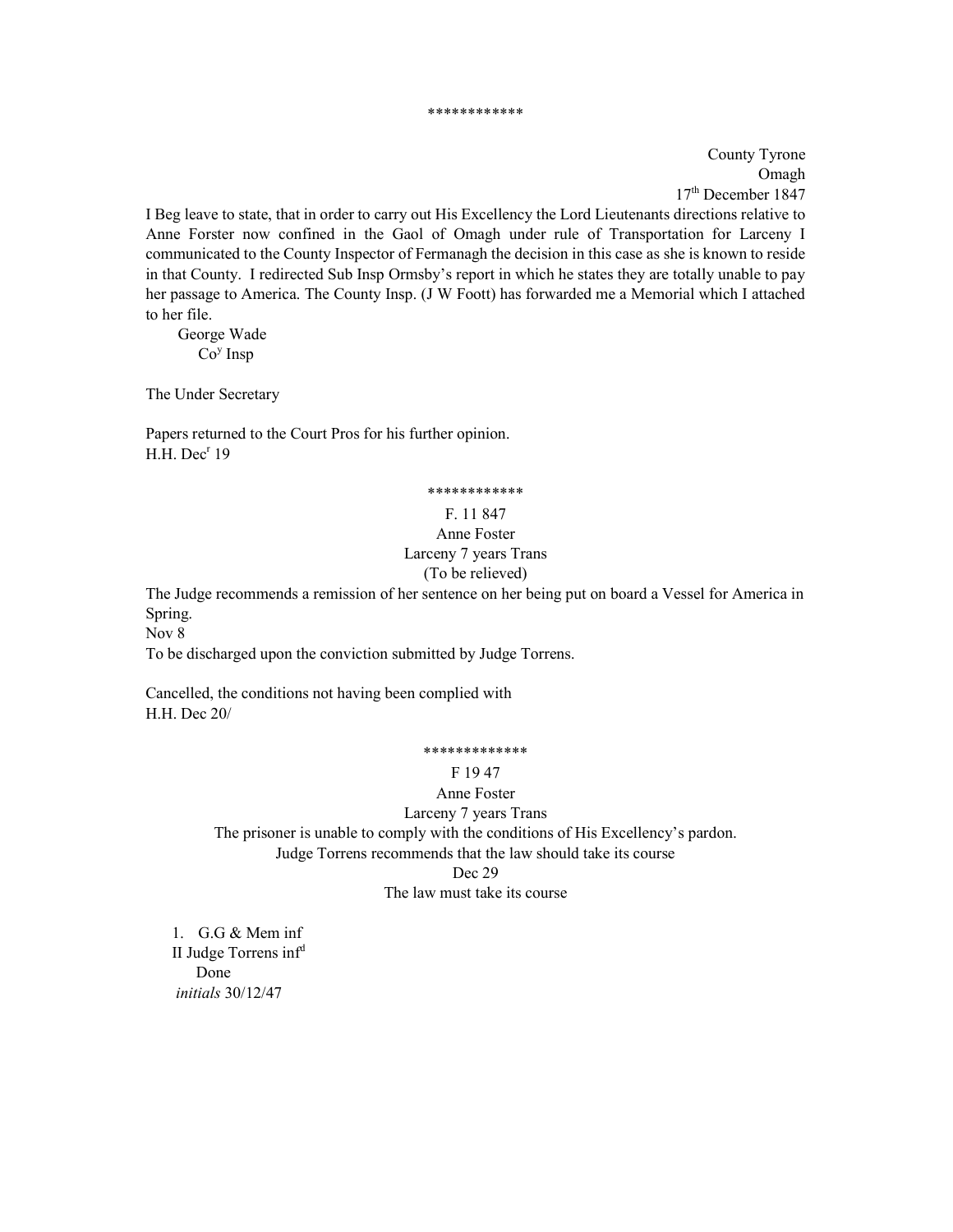#### \*\*\*\*\*\*\*\*\*\*\*\*

County Tyrone Omagh 17th December 1847

I Beg leave to state, that in order to carry out His Excellency the Lord Lieutenants directions relative to Anne Forster now confined in the Gaol of Omagh under rule of Transportation for Larceny I communicated to the County Inspector of Fermanagh the decision in this case as she is known to reside in that County. I redirected Sub Insp Ormsby's report in which he states they are totally unable to pay her passage to America. The County Insp. (J W Foott) has forwarded me a Memorial which I attached to her file.

 George Wade  $Co<sup>y</sup>$  Insp

The Under Secretary

Papers returned to the Court Pros for his further opinion.  $H.H.$  Dec<sup>r</sup> 19

### \*\*\*\*\*\*\*\*\*\*\*\*

### F. 11 847

# Anne Foster Larceny 7 years Trans (To be relieved)

The Judge recommends a remission of her sentence on her being put on board a Vessel for America in Spring.

Nov 8

To be discharged upon the conviction submitted by Judge Torrens.

Cancelled, the conditions not having been complied with H.H. Dec 20/

#### \*\*\*\*\*\*\*\*\*\*\*\*\*

### F 19 47

Anne Foster Larceny 7 years Trans The prisoner is unable to comply with the conditions of His Excellency's pardon. Judge Torrens recommends that the law should take its course Dec 29 The law must take its course

1. G.G & Mem inf II Judge Torrens inf<sup>d</sup> Done initials 30/12/47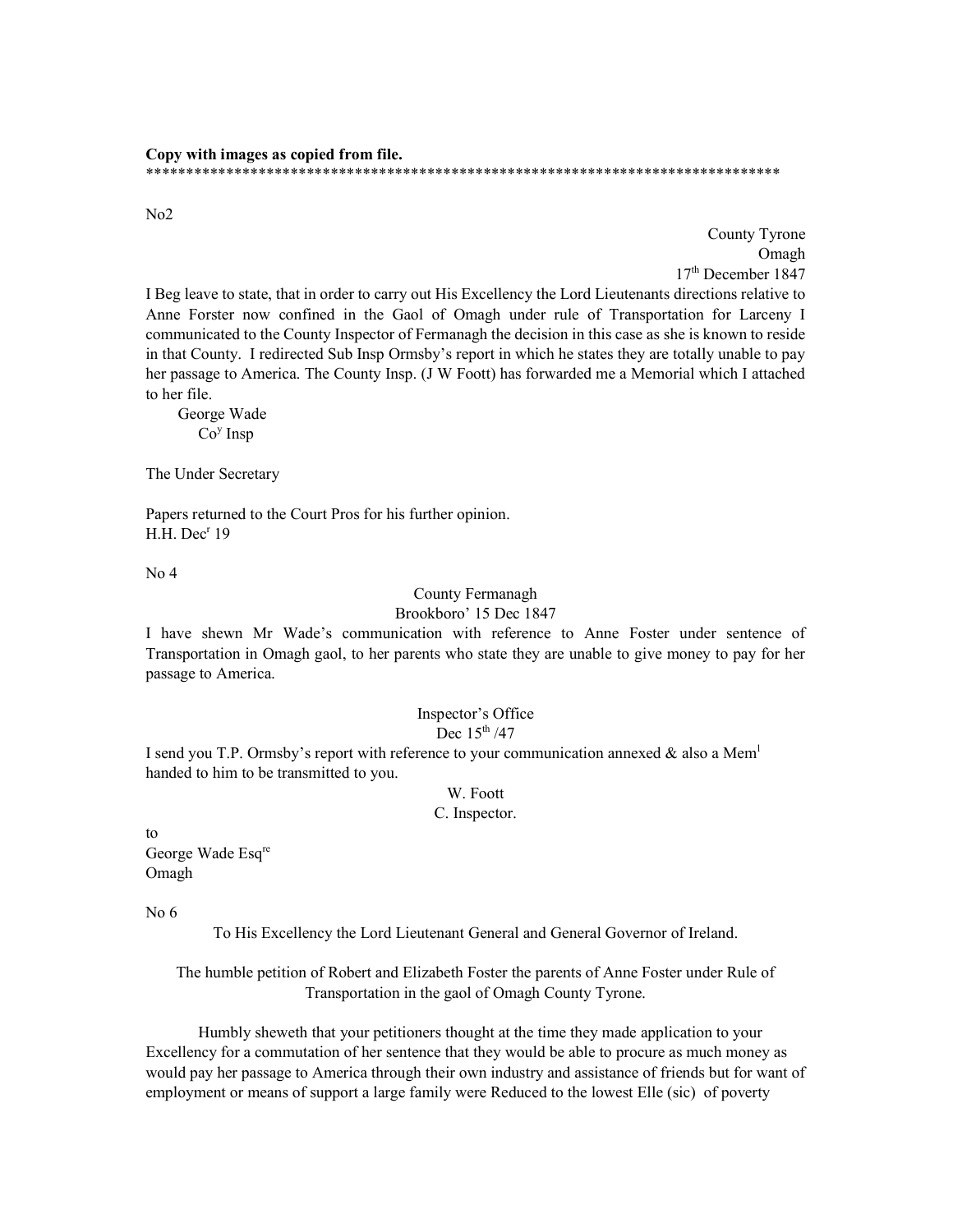Copy with images as copied from file. \*\*\*\*\*\*\*\*\*\*\*\*\*\*\*\*\*\*\*\*\*\*\*\*\*\*\*\*\*\*\*\*\*\*\*\*\*\*\*\*\*\*\*\*\*\*\*\*\*\*\*\*\*\*\*\*\*\*\*\*\*\*\*\*\*\*\*\*\*\*\*\*\*\*\*\*\*\*\*

No2

County Tyrone Omagh 17th December 1847

I Beg leave to state, that in order to carry out His Excellency the Lord Lieutenants directions relative to Anne Forster now confined in the Gaol of Omagh under rule of Transportation for Larceny I communicated to the County Inspector of Fermanagh the decision in this case as she is known to reside in that County. I redirected Sub Insp Ormsby's report in which he states they are totally unable to pay her passage to America. The County Insp. (J W Foott) has forwarded me a Memorial which I attached to her file.

 George Wade  $Co<sup>y</sup>$  Insp

The Under Secretary

Papers returned to the Court Pros for his further opinion.  $H.H.$  Dec<sup>r</sup> 19

No 4

## County Fermanagh Brookboro' 15 Dec 1847

I have shewn Mr Wade's communication with reference to Anne Foster under sentence of Transportation in Omagh gaol, to her parents who state they are unable to give money to pay for her passage to America.

# Inspector's Office

Dec  $15^{\text{th}}$  /47

I send you T.P. Ormsby's report with reference to your communication annexed  $\&$  also a Mem<sup>1</sup> handed to him to be transmitted to you.

### W. Foott C. Inspector.

to

George Wade Esq<sup>re</sup> Omagh

No 6

To His Excellency the Lord Lieutenant General and General Governor of Ireland.

The humble petition of Robert and Elizabeth Foster the parents of Anne Foster under Rule of Transportation in the gaol of Omagh County Tyrone.

Humbly sheweth that your petitioners thought at the time they made application to your Excellency for a commutation of her sentence that they would be able to procure as much money as would pay her passage to America through their own industry and assistance of friends but for want of employment or means of support a large family were Reduced to the lowest Elle (sic) of poverty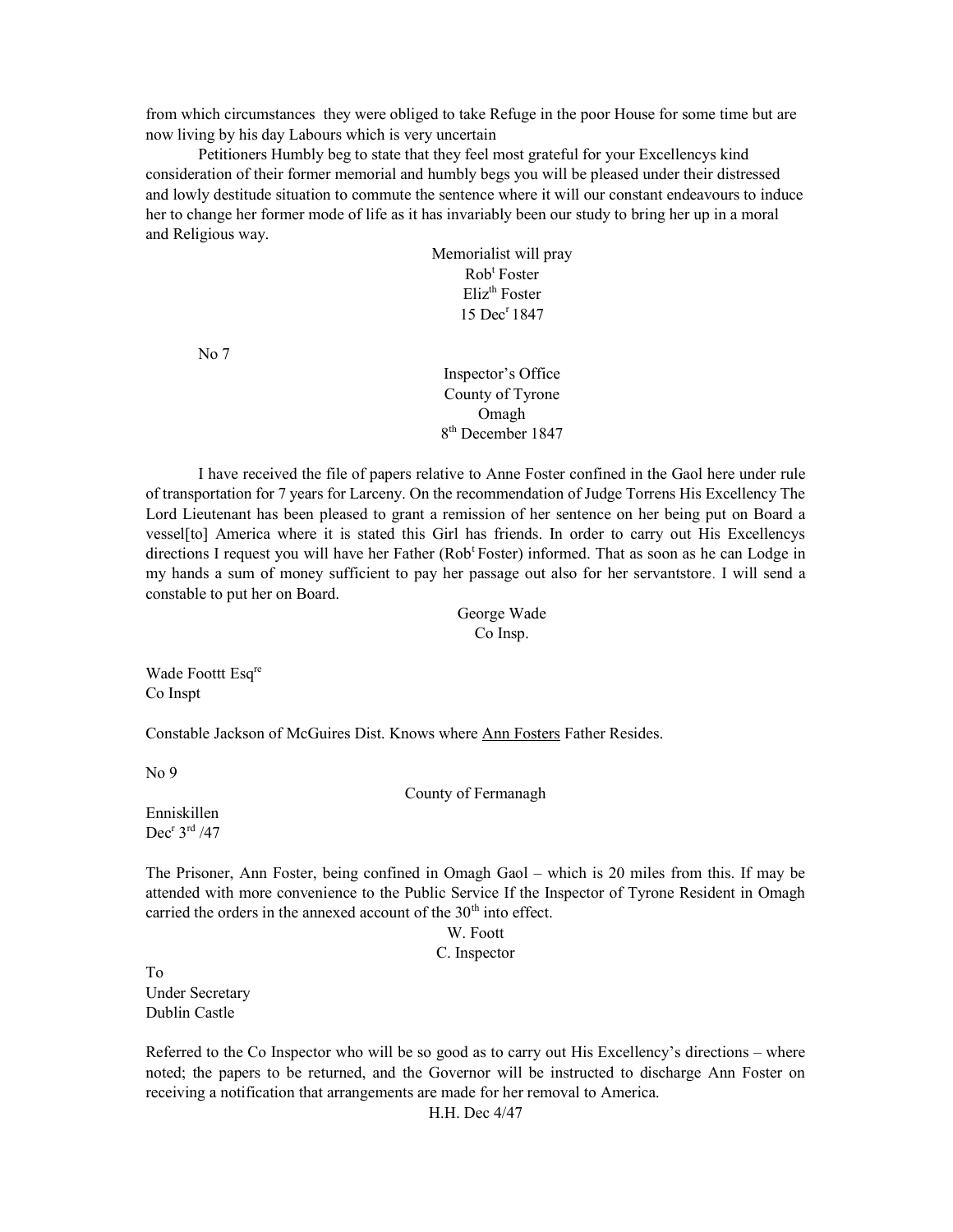from which circumstances they were obliged to take Refuge in the poor House for some time but are now living by his day Labours which is very uncertain

Petitioners Humbly beg to state that they feel most grateful for your Excellencys kind consideration of their former memorial and humbly begs you will be pleased under their distressed and lowly destitude situation to commute the sentence where it will our constant endeavours to induce her to change her former mode of life as it has invariably been our study to bring her up in a moral and Religious way.

> Memorialist will pray Rob<sup>t</sup> Foster  $E$ liz<sup>th</sup> Foster 15 Dec<sup>r</sup> 1847

No 7

Inspector's Office County of Tyrone Omagh 8<sup>th</sup> December 1847

I have received the file of papers relative to Anne Foster confined in the Gaol here under rule of transportation for 7 years for Larceny. On the recommendation of Judge Torrens His Excellency The Lord Lieutenant has been pleased to grant a remission of her sentence on her being put on Board a vessel[to] America where it is stated this Girl has friends. In order to carry out His Excellencys directions I request you will have her Father (Rob<sup>t</sup>Foster) informed. That as soon as he can Lodge in my hands a sum of money sufficient to pay her passage out also for her servantstore. I will send a constable to put her on Board.

> George Wade Co Insp.

Wade Foottt Esq<sup>re</sup> Co Inspt

Constable Jackson of McGuires Dist. Knows where Ann Fosters Father Resides.

No 9

County of Fermanagh

Enniskillen  $Dec<sup>r</sup> 3<sup>rd</sup> / 47$ 

The Prisoner, Ann Foster, being confined in Omagh Gaol – which is 20 miles from this. If may be attended with more convenience to the Public Service If the Inspector of Tyrone Resident in Omagh carried the orders in the annexed account of the  $30<sup>th</sup>$  into effect.

W. Foott

C. Inspector

To Under Secretary Dublin Castle

Referred to the Co Inspector who will be so good as to carry out His Excellency's directions – where noted; the papers to be returned, and the Governor will be instructed to discharge Ann Foster on receiving a notification that arrangements are made for her removal to America.

H.H. Dec 4/47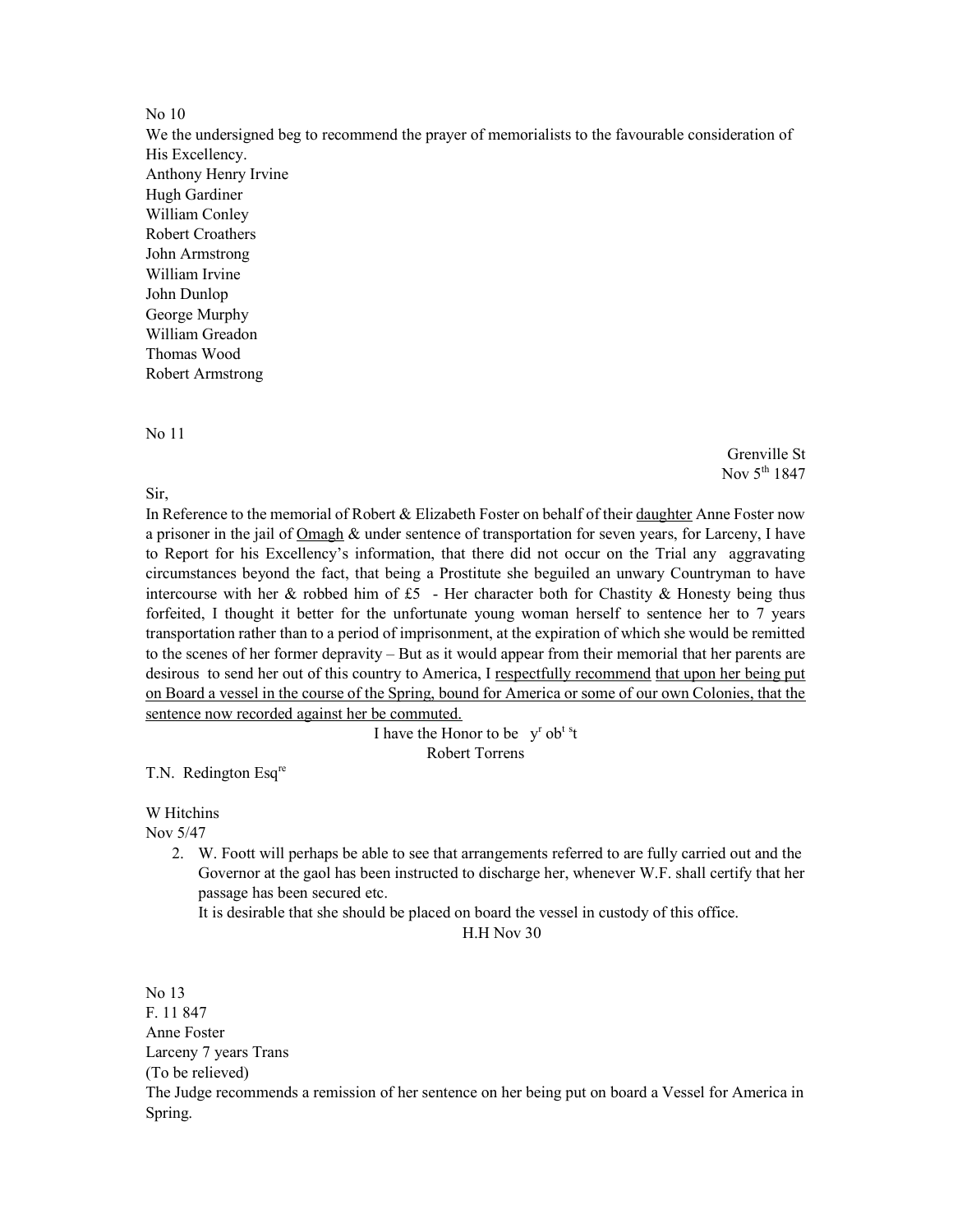### No 10

We the undersigned beg to recommend the prayer of memorialists to the favourable consideration of His Excellency. Anthony Henry Irvine Hugh Gardiner William Conley Robert Croathers John Armstrong William Irvine John Dunlop George Murphy William Greadon Thomas Wood Robert Armstrong

#### No 11

Sir,

Nov 5<sup>th</sup> 1847

Grenville St

In Reference to the memorial of Robert & Elizabeth Foster on behalf of their daughter Anne Foster now a prisoner in the jail of Omagh & under sentence of transportation for seven years, for Larceny, I have to Report for his Excellency's information, that there did not occur on the Trial any aggravating circumstances beyond the fact, that being a Prostitute she beguiled an unwary Countryman to have intercourse with her & robbed him of  $£5$  - Her character both for Chastity & Honesty being thus forfeited, I thought it better for the unfortunate young woman herself to sentence her to 7 years transportation rather than to a period of imprisonment, at the expiration of which she would be remitted to the scenes of her former depravity – But as it would appear from their memorial that her parents are desirous to send her out of this country to America, I respectfully recommend that upon her being put on Board a vessel in the course of the Spring, bound for America or some of our own Colonies, that the sentence now recorded against her be commuted.

> I have the Honor to be  $y^r$  ob<sup>ts</sup>t Robert Torrens

T.N. Redington Esq<sup>re</sup>

W Hitchins

Nov 5/47

2. W. Foott will perhaps be able to see that arrangements referred to are fully carried out and the Governor at the gaol has been instructed to discharge her, whenever W.F. shall certify that her passage has been secured etc.

It is desirable that she should be placed on board the vessel in custody of this office.

H.H Nov 30

No 13 F. 11 847 Anne Foster Larceny 7 years Trans (To be relieved) The Judge recommends a remission of her sentence on her being put on board a Vessel for America in Spring.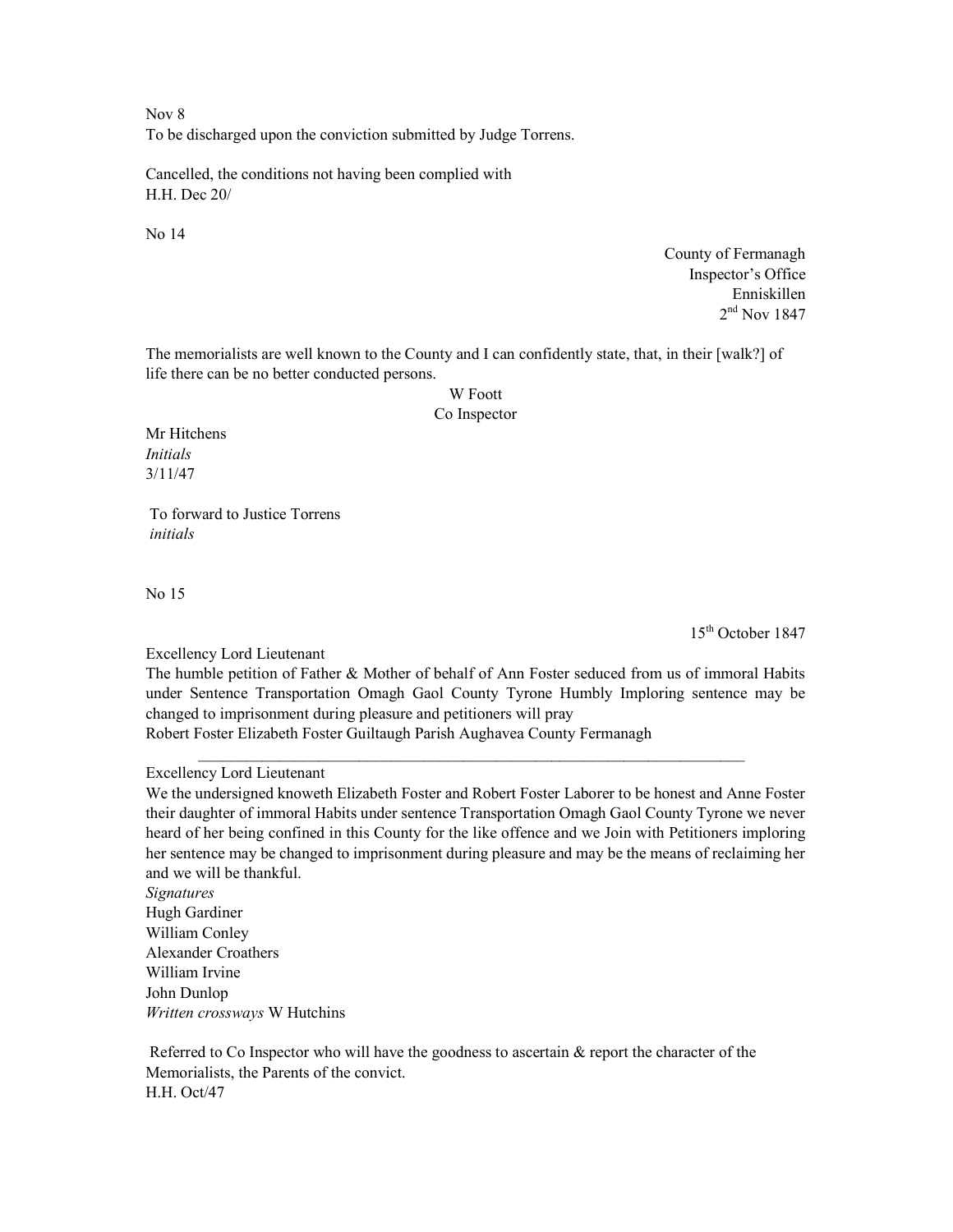Nov 8 To be discharged upon the conviction submitted by Judge Torrens.

Cancelled, the conditions not having been complied with H.H. Dec 20/

No 14

County of Fermanagh Inspector's Office Enniskillen 2 nd Nov 1847

The memorialists are well known to the County and I can confidently state, that, in their [walk?] of life there can be no better conducted persons.

# W Foott

### Co Inspector

Mr Hitchens Initials 3/11/47

 To forward to Justice Torrens initials

No 15

15th October 1847

Excellency Lord Lieutenant

The humble petition of Father & Mother of behalf of Ann Foster seduced from us of immoral Habits under Sentence Transportation Omagh Gaol County Tyrone Humbly Imploring sentence may be changed to imprisonment during pleasure and petitioners will pray

 $\mathcal{L}_\mathcal{L} = \{ \mathcal{L}_\mathcal{L} = \{ \mathcal{L}_\mathcal{L} = \{ \mathcal{L}_\mathcal{L} = \{ \mathcal{L}_\mathcal{L} = \{ \mathcal{L}_\mathcal{L} = \{ \mathcal{L}_\mathcal{L} = \{ \mathcal{L}_\mathcal{L} = \{ \mathcal{L}_\mathcal{L} = \{ \mathcal{L}_\mathcal{L} = \{ \mathcal{L}_\mathcal{L} = \{ \mathcal{L}_\mathcal{L} = \{ \mathcal{L}_\mathcal{L} = \{ \mathcal{L}_\mathcal{L} = \{ \mathcal{L}_\mathcal{$ 

Robert Foster Elizabeth Foster Guiltaugh Parish Aughavea County Fermanagh

Excellency Lord Lieutenant

We the undersigned knoweth Elizabeth Foster and Robert Foster Laborer to be honest and Anne Foster their daughter of immoral Habits under sentence Transportation Omagh Gaol County Tyrone we never heard of her being confined in this County for the like offence and we Join with Petitioners imploring her sentence may be changed to imprisonment during pleasure and may be the means of reclaiming her and we will be thankful.

Signatures Hugh Gardiner William Conley Alexander Croathers William Irvine John Dunlop Written crossways W Hutchins

 Referred to Co Inspector who will have the goodness to ascertain & report the character of the Memorialists, the Parents of the convict. H.H. Oct/47